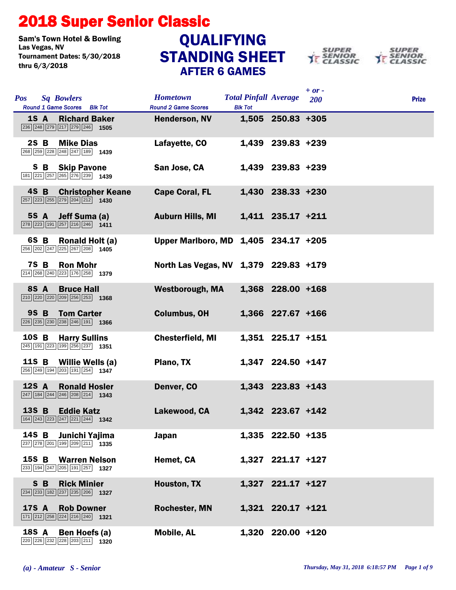## 2018 Super Senior Classic

Sam's Town Hotel & Bowling<br>Las Vegas, NV Tournament Dates: 5/30/2018 thru 6/3/2018

## STANDING SHEET AFTER 6 GAMES **QUALIFYING**





| <b>Pos</b> |              | <b>Sq Bowlers</b><br>Round 1 Game Scores Blk Tot                                                                     |                          | <b>Hometown</b><br><b>Round 2 Game Scores</b> | <b>Blk Tot</b> | <b>Total Pinfall Average</b> | $+$ or -<br><b>200</b> | <b>Prize</b> |
|------------|--------------|----------------------------------------------------------------------------------------------------------------------|--------------------------|-----------------------------------------------|----------------|------------------------------|------------------------|--------------|
|            | 1S A         | $\sqrt{236}\sqrt{248}\sqrt{279}\sqrt{217}\sqrt{279}\sqrt{246}$ 1505                                                  | <b>Richard Baker</b>     | <b>Henderson, NV</b>                          |                | 1,505 250.83 +305            |                        |              |
|            | $2S$ B       | <b>Mike Dias</b><br>268 259 228 248 247 189 1439                                                                     |                          | Lafayette, CO                                 |                | 1,439 239.83 +239            |                        |              |
|            |              | <b>S B Skip Pavone</b><br>181 221 257 265 276 239 1439                                                               |                          | San Jose, CA                                  |                | 1,439 239.83 +239            |                        |              |
|            | 4S B         | $\boxed{257}$ $\boxed{223}$ $\boxed{255}$ $\boxed{279}$ $\boxed{204}$ $\boxed{212}$ <b>1430</b>                      | <b>Christopher Keane</b> | <b>Cape Coral, FL</b>                         |                | 1,430 238.33 +230            |                        |              |
|            | 5S A         | $\boxed{278}$ $\boxed{223}$ 191 257 216 246 1411                                                                     | Jeff Suma (a)            | <b>Auburn Hills, MI</b>                       |                | 1,411 235.17 +211            |                        |              |
|            | 6S B         | $\boxed{256}\boxed{202}\boxed{247}\boxed{225}\boxed{267}\boxed{208}$ 1405                                            | Ronald Holt (a)          | Upper Marlboro, MD 1,405 234.17 +205          |                |                              |                        |              |
|            | <b>7S B</b>  | <b>Ron Mohr</b><br>214 268 240 223 176 258 1379                                                                      |                          | North Las Vegas, NV 1,379 229.83 +179         |                |                              |                        |              |
|            | 8S A         | <b>Bruce Hall</b><br>$\boxed{210}$ $\boxed{220}$ $\boxed{220}$ $\boxed{209}$ $\boxed{256}$ $\boxed{253}$ <b>1368</b> |                          | <b>Westborough, MA</b>                        |                | 1,368 228.00 +168            |                        |              |
|            | 9S B         | <b>Tom Carter</b><br>$\boxed{226}$ $\boxed{235}$ $\boxed{230}$ $\boxed{238}$ $\boxed{246}$ $\boxed{191}$ <b>1366</b> |                          | <b>Columbus, OH</b>                           |                | 1,366 227.67 +166            |                        |              |
|            | 10S B        | 245 191 223 199 256 237 1351                                                                                         | <b>Harry Sullins</b>     | <b>Chesterfield, MI</b>                       |                | 1,351 225.17 +151            |                        |              |
|            | 11S B        | 256 249 194 203 191 254 1347                                                                                         | Willie Wells (a)         | Plano, TX                                     |                | 1,347 224.50 +147            |                        |              |
|            | 12S A        | $\boxed{247}$ 184 244 246 208 214 1343                                                                               | <b>Ronald Hosler</b>     | Denver, CO                                    |                | 1,343 223.83 +143            |                        |              |
|            | 13S B        | <b>Eddie Katz</b><br>164 243 223 247 221 244 1342                                                                    |                          | Lakewood, CA                                  |                | 1,342 223.67 +142            |                        |              |
|            | 14S B        | 237 278 201 199 209 211 1335                                                                                         | Junichi Yajima           | <b>Japan</b>                                  |                | 1,335 222.50 +135            |                        |              |
|            | 15S B        | 233 194 247 205 191 257 1327                                                                                         | <b>Warren Nelson</b>     | Hemet, CA                                     |                | 1,327 221.17 +127            |                        |              |
|            | S B          | $\boxed{234}$ $\boxed{233}$ $\boxed{182}$ $\boxed{237}$ $\boxed{235}$ $\boxed{206}$ <b>1327</b>                      | <b>Rick Minier</b>       | Houston, TX                                   |                | 1,327 221.17 +127            |                        |              |
|            | <b>17S A</b> | $\boxed{171}$ $\boxed{212}$ $\boxed{258}$ $\boxed{224}$ $\boxed{216}$ $\boxed{240}$ <b>1321</b>                      | <b>Rob Downer</b>        | <b>Rochester, MN</b>                          |                | 1,321 220.17 +121            |                        |              |
|            | 18S A        | 220 226 232 228 203 211 1320                                                                                         | Ben Hoefs (a)            | <b>Mobile, AL</b>                             |                | 1,320 220.00 +120            |                        |              |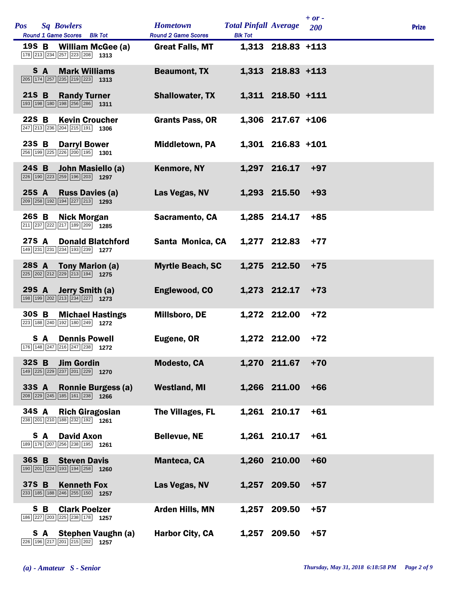| <b>Pos</b> | <b>Sq Bowlers</b><br>Round 1 Game Scores Blk Tot                                                                            | <b>Hometown</b><br><b>Round 2 Game Scores</b> | <b>Total Pinfall Average</b><br><b>Blk Tot</b> |                     | $+ or -$<br>200 | <b>Prize</b> |
|------------|-----------------------------------------------------------------------------------------------------------------------------|-----------------------------------------------|------------------------------------------------|---------------------|-----------------|--------------|
|            | 19S B<br>William McGee (a)<br>178 213 234 257 223 208 1313                                                                  | <b>Great Falls, MT</b>                        |                                                | 1,313 218.83 +113   |                 |              |
|            | S A<br><b>Mark Williams</b><br>$\boxed{205}$ 174 $\boxed{257}$ $\boxed{235}$ $\boxed{219}$ $\boxed{223}$ 1313               | <b>Beaumont, TX</b>                           |                                                | 1,313 218.83 +113   |                 |              |
| 21S B      | <b>Randy Turner</b><br>193 198 180 198 256 286 1311                                                                         | <b>Shallowater, TX</b>                        |                                                | 1,311 218.50 +111   |                 |              |
| 22S B      | <b>Kevin Croucher</b><br>247 213 236 204 215 191 1306                                                                       | <b>Grants Pass, OR</b>                        |                                                | $1,306$ 217.67 +106 |                 |              |
| 23S B      | <b>Darryl Bower</b><br>256 199 225 226 200 195 1301                                                                         | <b>Middletown, PA</b>                         |                                                | 1,301 216.83 +101   |                 |              |
|            | 24S B<br>John Masiello (a)<br>226 190 223 259 196 203 1297                                                                  | <b>Kenmore, NY</b>                            |                                                | 1,297 216.17        | $+97$           |              |
| 25S A      | <b>Russ Davies (a)</b><br>$\boxed{209}$ $\boxed{258}$ $\boxed{192}$ $\boxed{194}$ $\boxed{227}$ $\boxed{213}$ <b>1293</b>   | Las Vegas, NV                                 |                                                | 1,293 215.50        | $+93$           |              |
| 26S B      | <b>Nick Morgan</b><br>211 237 222 217 189 209 1285                                                                          | Sacramento, CA                                |                                                | 1,285 214.17        | $+85$           |              |
|            | 27S A<br><b>Donald Blatchford</b><br>149 231 231 234 193 239 1277                                                           | Santa Monica, CA                              |                                                | 1,277 212.83        | $+77$           |              |
|            | 28S A<br>Tony Marion (a)<br>$\boxed{225}$ $\boxed{202}$ $\boxed{212}$ $\boxed{229}$ $\boxed{213}$ $\boxed{194}$ <b>1275</b> | <b>Myrtle Beach, SC</b>                       |                                                | 1,275 212.50        | $+75$           |              |
| 29S A      | Jerry Smith (a)<br>198 199 202 213 234 227 1273                                                                             | Englewood, CO                                 |                                                | 1,273 212.17        | $+73$           |              |
| 30S B      | <b>Michael Hastings</b><br>223 188 240 192 180 249 1272                                                                     | <b>Millsboro, DE</b>                          |                                                | 1,272 212.00        | $+72$           |              |
|            | <b>Dennis Powell</b><br>S A<br>176 148 247 216 247 238 1272                                                                 | Eugene, OR                                    |                                                | 1,272 212.00        | $+72$           |              |
| 32S B      | <b>Jim Gordin</b><br>149 225 229 237 201 229 1270                                                                           | <b>Modesto, CA</b>                            |                                                | 1,270 211.67        | $+70$           |              |
| 33S A      | <b>Ronnie Burgess (a)</b><br>$\boxed{208}$ $\boxed{229}$ $\boxed{245}$ $\boxed{185}$ $\boxed{161}$ $\boxed{238}$ 1266       | <b>Westland, MI</b>                           |                                                | 1,266 211.00        | $+66$           |              |
| 34S A      | <b>Rich Giragosian</b><br>238 201 210 188 232 192 1261                                                                      | The Villages, FL                              |                                                | 1,261 210.17        | $+61$           |              |
|            | S A<br><b>David Axon</b><br>189 176 207 256 238 195 1261                                                                    | <b>Bellevue, NE</b>                           |                                                | 1,261 210.17        | $+61$           |              |
| 36S B      | <b>Steven Davis</b><br>190 201 224 193 194 258 1260                                                                         | <b>Manteca, CA</b>                            |                                                | 1,260 210.00        | $+60$           |              |
| 37S B      | <b>Kenneth Fox</b><br>$\boxed{233}$ 185 188 246 255 150 1257                                                                | Las Vegas, NV                                 |                                                | 1,257 209.50        | $+57$           |              |
|            | S B<br><b>Clark Poelzer</b><br>186 227 203 225 238 178 1257                                                                 | <b>Arden Hills, MN</b>                        | 1,257                                          | 209.50              | $+57$           |              |
|            | Stephen Vaughn (a)<br>SA.<br>226 196 217 201 215 202<br>1257                                                                | <b>Harbor City, CA</b>                        |                                                | 1,257 209.50        | $+57$           |              |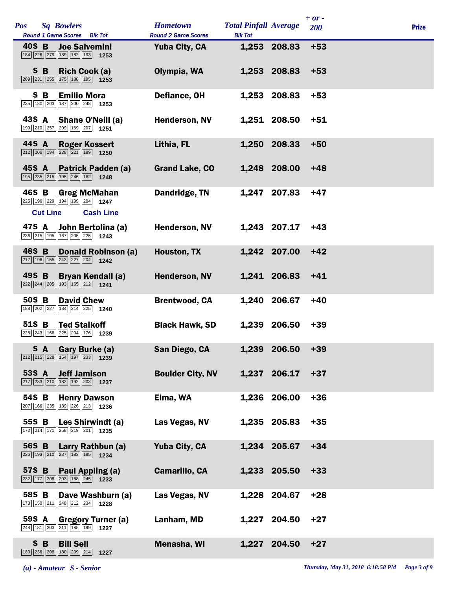| <b>Pos</b> |                 | <b>Sq Bowlers</b><br>Round 1 Game Scores Blk Tot                                                                            | <b>Hometown</b><br><b>Round 2 Game Scores</b> | <b>Total Pinfall Average</b><br><b>Blk Tot</b> |              | $+ or -$<br><b>200</b> | <b>Prize</b> |
|------------|-----------------|-----------------------------------------------------------------------------------------------------------------------------|-----------------------------------------------|------------------------------------------------|--------------|------------------------|--------------|
| 40S B      |                 | <b>Joe Salvemini</b><br>184 226 279 189 182 193 1253                                                                        | <b>Yuba City, CA</b>                          |                                                | 1,253 208.83 | $+53$                  |              |
|            | S B             | Rich Cook (a)<br>$\boxed{209}$ $\boxed{231}$ $\boxed{255}$ $\boxed{175}$ $\boxed{188}$ $\boxed{195}$ <b>1253</b>            | Olympia, WA                                   |                                                | 1,253 208.83 | $+53$                  |              |
|            | S B             | <b>Emilio Mora</b><br>235 180 203 187 200 248 1253                                                                          | Defiance, OH                                  |                                                | 1,253 208.83 | $+53$                  |              |
| 43S A      |                 | Shane O'Neill (a)<br>199 210 257 209 169 207 1251                                                                           | <b>Henderson, NV</b>                          |                                                | 1,251 208.50 | $+51$                  |              |
| 44S A      |                 | <b>Roger Kossert</b><br>$\boxed{212}$ $\boxed{206}$ $\boxed{194}$ $\boxed{228}$ $\boxed{221}$ $\boxed{189}$ <b>1250</b>     | Lithia, FL                                    |                                                | 1,250 208.33 | $+50$                  |              |
| 45S A      |                 | <b>Patrick Padden (a)</b><br>195 235 215 195 246 162 1248                                                                   | <b>Grand Lake, CO</b>                         |                                                | 1,248 208.00 | $+48$                  |              |
| 46S B      |                 | <b>Greg McMahan</b><br>225 196 229 194 199 204 1247                                                                         | Dandridge, TN                                 | 1,247                                          | 207.83       | $+47$                  |              |
| 47S A      | <b>Cut Line</b> | <b>Cash Line</b><br>John Bertolina (a)<br>236 215 195 167 205 225 1243                                                      | <b>Henderson, NV</b>                          |                                                | 1,243 207.17 | $+43$                  |              |
| 48S B      |                 | <b>Donald Robinson (a)</b><br>$\boxed{217}$ 196 155 243 227 204 1242                                                        | Houston, TX                                   |                                                | 1,242 207.00 | $+42$                  |              |
| 49S B      |                 | <b>Bryan Kendall (a)</b><br>$\boxed{222}$ $\boxed{244}$ $\boxed{205}$ $\boxed{193}$ $\boxed{165}$ $\boxed{212}$ <b>1241</b> | <b>Henderson, NV</b>                          |                                                | 1,241 206.83 | $+41$                  |              |
| 50S B      |                 | <b>David Chew</b><br>188 202 227 184 214 225 1240                                                                           | <b>Brentwood, CA</b>                          |                                                | 1,240 206.67 | $+40$                  |              |
| 51S B      |                 | <b>Ted Staikoff</b><br>$\sqrt{225}$ $\sqrt{243}$ 166 225 204 176 1239                                                       | <b>Black Hawk, SD</b>                         |                                                | 1,239 206.50 | $+39$                  |              |
|            |                 | S A Gary Burke (a)<br>$\boxed{212}$ $\boxed{215}$ $\boxed{228}$ $\boxed{154}$ $\boxed{197}$ $\boxed{233}$ <b>1239</b>       | San Diego, CA                                 |                                                | 1,239 206.50 | $+39$                  |              |
| 53S A      |                 | <b>Jeff Jamison</b><br>$\boxed{217}$ $\boxed{233}$ $\boxed{210}$ $\boxed{182}$ $\boxed{192}$ $\boxed{203}$ <b>1237</b>      | <b>Boulder City, NV</b>                       |                                                | 1,237 206.17 | $+37$                  |              |
| 54S B      |                 | <b>Henry Dawson</b><br>207 166 235 189 226 213 1236                                                                         | Elma, WA                                      |                                                | 1,236 206.00 | $+36$                  |              |
| 55S B      |                 | Les Shirwindt (a)<br>172 214 171 258 219 201 1235                                                                           | Las Vegas, NV                                 |                                                | 1,235 205.83 | $+35$                  |              |
| 56S B      |                 | Larry Rathbun (a)<br>$\boxed{226}$ 193 210 237 183 185 1234                                                                 | Yuba City, CA                                 |                                                | 1,234 205.67 | $+34$                  |              |
| 57S B      |                 | <b>Paul Appling (a)</b><br>$\boxed{232}$ 177 208 203 168 245 1233                                                           | <b>Camarillo, CA</b>                          |                                                | 1,233 205.50 | $+33$                  |              |
| 58S B      |                 | Dave Washburn (a)<br>173 150 211 248 212 234 1228                                                                           | Las Vegas, NV                                 |                                                | 1,228 204.67 | $+28$                  |              |
| 59S A      |                 | <b>Gregory Turner (a)</b><br>248 181 203 211 185 199<br>1227                                                                | Lanham, MD                                    |                                                | 1,227 204.50 | $+27$                  |              |
|            | S B             | <b>Bill Sell</b><br>180 236 208 180 209 214<br>1227                                                                         | <b>Menasha, WI</b>                            |                                                | 1,227 204.50 | $+27$                  |              |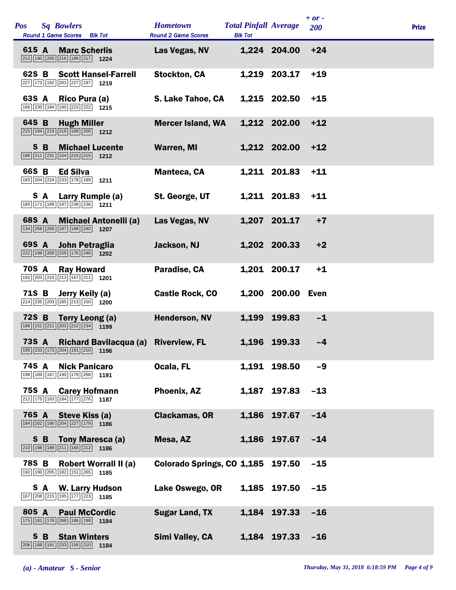| <b>Pos</b>   |     | <b>Sq Bowlers</b><br><b>Round 1 Game Scores</b> Blk Tot                                                                   | <b>Hometown</b><br><b>Round 2 Game Scores</b> | <b>Total Pinfall Average</b><br><b>Blk Tot</b> |                   | $+ or -$<br>200 | <b>Prize</b> |
|--------------|-----|---------------------------------------------------------------------------------------------------------------------------|-----------------------------------------------|------------------------------------------------|-------------------|-----------------|--------------|
| 61S A        |     | <b>Marc Scherlis</b><br>$\boxed{212}$ 190 $\boxed{200}$ $\boxed{216}$ 189 $\boxed{217}$ 1224                              | Las Vegas, NV                                 |                                                | 1,224 204.00      | $+24$           |              |
| 62S B        |     | <b>Scott Hansel-Farrell</b><br>227 173 192 203 227 197 1219                                                               | <b>Stockton, CA</b>                           |                                                | 1,219 203.17      | $+19$           |              |
| 63S A        |     | Rico Pura (a)<br>166 230 184 190 223 222 1215                                                                             | S. Lake Tahoe, CA                             |                                                | 1,215 202.50      | $+15$           |              |
| 64S B        |     | <b>Hugh Miller</b><br>$\boxed{215}$ 194 219 216 168 200 1212                                                              | <b>Mercer Island, WA</b>                      |                                                | 1,212 202.00      | $+12$           |              |
|              | S B | <b>Michael Lucente</b><br>$\boxed{186}$ $\boxed{211}$ $\boxed{231}$ $\boxed{154}$ $\boxed{215}$ $\boxed{215}$ <b>1212</b> | <b>Warren, MI</b>                             |                                                | 1,212 202.00      | $+12$           |              |
| 66S B        |     | <b>Ed Silva</b><br>183 204 224 233 178 189 1211                                                                           | <b>Manteca, CA</b>                            |                                                | 1,211 201.83      | $+11$           |              |
|              | S A | Larry Rumple (a)<br>180 171 189 197 238 236 1211                                                                          | St. George, UT                                |                                                | 1,211 201.83      | $+11$           |              |
| 68S A        |     | <b>Michael Antonelli (a)</b><br>134 258 200 187 188 240 1207                                                              | Las Vegas, NV                                 |                                                | 1,207 201.17      | $+7$            |              |
| 69S A        |     | John Petraglia<br>222 199 200 159 176 246 1202                                                                            | Jackson, NJ                                   |                                                | 1,202 200.33      | $+2$            |              |
| <b>70S A</b> |     | <b>Ray Howard</b><br>192 203 215 213 167 211 1201                                                                         | Paradise, CA                                  |                                                | 1,201 200.17      | $+1$            |              |
| 71S B        |     | Jerry Keily (a)<br>$\boxed{214}$ $\boxed{235}$ $\boxed{203}$ $\boxed{185}$ $\boxed{213}$ $\boxed{150}$ $\boxed{200}$      | <b>Castle Rock, CO</b>                        |                                                | 1,200 200.00 Even |                 |              |
| 72S B        |     | <b>Terry Leong (a)</b><br>$\boxed{188}$ $\boxed{151}$ $\boxed{211}$ $\boxed{203}$ $\boxed{212}$ $\boxed{234}$ <b>1199</b> | Henderson, NV                                 | 1,199                                          | 199.83            | $-1$            |              |
| <b>73S A</b> |     | Richard Bavilacqua (a)                                                                                                    | <b>Riverview, FL</b>                          |                                                | 1,196 199.33      | $-4$            |              |
| <b>74S A</b> |     | <b>Nick Panicaro</b><br>198 189 167 190 179 268 1191                                                                      | Ocala, FL                                     |                                                | 1,191 198.50      | $-9$            |              |
| 75S A        |     | <b>Carey Hofmann</b><br>212 175 163 184 177 276 1187                                                                      | Phoenix, AZ                                   |                                                | 1,187 197.83      | $-13$           |              |
| <b>76S A</b> |     | Steve Kiss (a)<br>184 202 190 204 227 179 1186                                                                            | <b>Clackamas, OR</b>                          |                                                | 1,186 197.67      | $-14$           |              |
|              | S B | Tony Maresca (a)<br>$\boxed{210}$ 198 189 211 166 212 1186                                                                | Mesa, AZ                                      |                                                | 1,186 197.67      | $-14$           |              |
| 78S B        |     | <b>Robert Worrall II (a)</b><br>192 190 205 182 151 265 1185                                                              | Colorado Springs, CO 1,185                    |                                                | 197.50            | $-15$           |              |
|              | S A | <b>W. Larry Hudson</b><br>167 208 215 195 177 223 1185                                                                    | Lake Oswego, OR                               | 1,185                                          | 197.50            | $-15$           |              |
| 80S A        |     | <b>Paul McCordic</b><br>175 181 176 268 186 198 1184                                                                      | <b>Sugar Land, TX</b>                         |                                                | 1,184 197.33      | $-16$           |              |
|              | S B | <b>Stan Winters</b><br>206 188 191 233 156 210 1184                                                                       | Simi Valley, CA                               |                                                | 1,184 197.33      | $-16$           |              |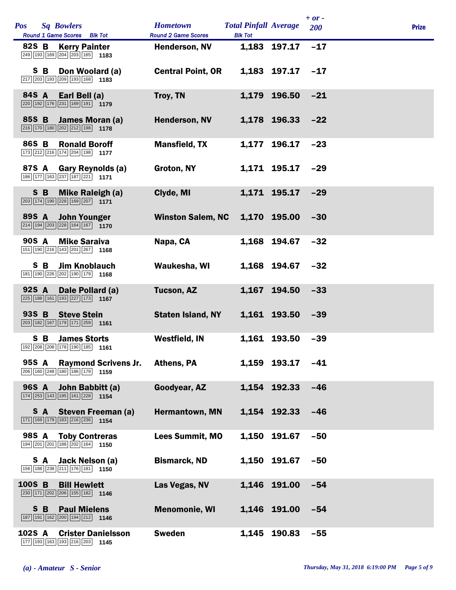| <b>Pos</b> |     | <b>Sq Bowlers</b><br>Round 1 Game Scores Blk Tot                                                                       | <b>Hometown</b><br><b>Round 2 Game Scores</b> | <b>Total Pinfall Average</b><br><b>Blk Tot</b> |              | $+ or -$<br>200 | <b>Prize</b> |
|------------|-----|------------------------------------------------------------------------------------------------------------------------|-----------------------------------------------|------------------------------------------------|--------------|-----------------|--------------|
| 82S B      |     | <b>Kerry Painter</b><br>249 193 169 204 203 165 1183                                                                   | <b>Henderson, NV</b>                          |                                                | 1,183 197.17 | $-17$           |              |
|            | S B | Don Woolard (a)<br>$\boxed{217}$ $\boxed{203}$ 193 209 193 168 1183                                                    | <b>Central Point, OR</b>                      |                                                | 1,183 197.17 | $-17$           |              |
| 84S A      |     | Earl Bell (a)<br>$\boxed{220}$ 192 176 231 169 191 1179                                                                | Troy, TN                                      |                                                | 1,179 196.50 | $-21$           |              |
| 85S B      |     | James Moran (a)<br>$\boxed{216}$ 170 180 202 212 198 1178                                                              | <b>Henderson, NV</b>                          |                                                | 1,178 196.33 | $-22$           |              |
| 86S B      |     | <b>Ronald Boroff</b><br>173 212 216 174 204 198 1177                                                                   | <b>Mansfield, TX</b>                          | 1,177                                          | 196.17       | $-23$           |              |
| 87S A      |     | Gary Reynolds (a)<br>186 177 163 237 187 221 171                                                                       | Groton, NY                                    |                                                | 1,171 195.17 | $-29$           |              |
|            | S B | <b>Mike Raleigh (a)</b><br>$\boxed{203}$ 174 190 228 169 207 1171                                                      | Clyde, MI                                     |                                                | 1,171 195.17 | $-29$           |              |
| 89S A      |     | <b>John Younger</b><br>$\boxed{214}$ $\boxed{194}$ $\boxed{203}$ $\boxed{228}$ $\boxed{164}$ $\boxed{167}$ <b>1170</b> | <b>Winston Salem, NC</b>                      |                                                | 1,170 195.00 | $-30$           |              |
| 90S A      |     | <b>Mike Saraiva</b><br>151 190 216 143 201 267 1168                                                                    | Napa, CA                                      |                                                | 1,168 194.67 | $-32$           |              |
|            | S B | <b>Jim Knoblauch</b><br>181 190 226 202 190 179 1168                                                                   | Waukesha, WI                                  |                                                | 1,168 194.67 | $-32$           |              |
| 92S A      |     | Dale Pollard (a)<br>$\boxed{225}$ 188 161 193 227 173 1167                                                             | <b>Tucson, AZ</b>                             |                                                | 1,167 194.50 | $-33$           |              |
| 93S B      |     | <b>Steve Stein</b><br>$\boxed{203}$ 182 167 179 171 259 1161                                                           | <b>Staten Island, NY</b>                      |                                                | 1,161 193.50 | $-39$           |              |
|            | S B | <b>James Storts</b><br>192 208 208 178 190 185 1161                                                                    | <b>Westfield, IN</b>                          |                                                | 1,161 193.50 | $-39$           |              |
| 95S A      |     | <b>Raymond Scrivens Jr.</b><br>206 160 248 180 186 179 1159                                                            | <b>Athens, PA</b>                             |                                                | 1,159 193.17 | $-41$           |              |
|            |     | 96S A John Babbitt (a)<br>$\boxed{174}$ $\boxed{253}$ $\boxed{143}$ $\boxed{195}$ $\boxed{161}$ $\boxed{228}$ 1154     | Goodyear, AZ                                  |                                                | 1,154 192.33 | $-46$           |              |
|            | S A | <b>Steven Freeman (a)</b><br>171 169 179 183 216 236 1154                                                              | Hermantown, MN                                |                                                | 1,154 192.33 | $-46$           |              |
| 98S A      |     | <b>Toby Contreras</b><br>194 201 201 188 202 164 1150                                                                  | <b>Lees Summit, MO</b>                        | 1,150                                          | 191.67       | $-50$           |              |
|            |     | S A Jack Nelson (a)<br>156 188 238 211 176 181 1150                                                                    | <b>Bismarck, ND</b>                           |                                                | 1,150 191.67 | $-50$           |              |
| 100S B     |     | <b>Bill Hewlett</b><br>$\boxed{230}$ 171 $\boxed{202}$ $\boxed{206}$ 155 182 1146                                      | Las Vegas, NV                                 |                                                | 1,146 191.00 | $-54$           |              |
|            | S B | <b>Paul Mielens</b><br>187 191 162 200 194 212 1146                                                                    | <b>Menomonie, WI</b>                          |                                                | 1,146 191.00 | $-54$           |              |
| 102S A     |     | <b>Crister Danielsson</b><br>177 193 163 193 216 203 1145                                                              | <b>Sweden</b>                                 |                                                | 1,145 190.83 | $-55$           |              |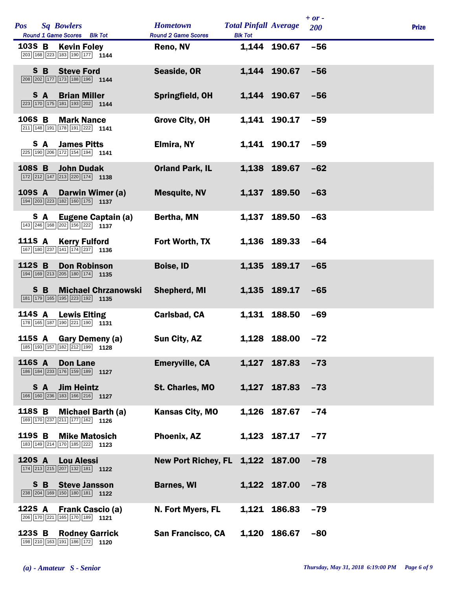| <b>Pos</b> |     | <b>Sq Bowlers</b>                                                                                                       | <b>Hometown</b>                  | <b>Total Pinfall Average</b> |                  | $+ or -$<br>200 | <b>Prize</b> |
|------------|-----|-------------------------------------------------------------------------------------------------------------------------|----------------------------------|------------------------------|------------------|-----------------|--------------|
|            |     | Round 1 Game Scores Blk Tot                                                                                             | <b>Round 2 Game Scores</b>       | <b>Blk Tot</b>               |                  |                 |              |
| 103S B     |     | <b>Kevin Foley</b><br>203 168 223 183 190 177 1144                                                                      | Reno, NV                         |                              | 1,144 190.67     | $-56$           |              |
|            |     | S B Steve Ford<br>208 202 177 173 188 196 1144                                                                          | Seaside, OR                      |                              | 1,144 190.67     | $-56$           |              |
|            | S A | <b>Brian Miller</b><br>$\boxed{223}$ 170 175 181 193 202 1144                                                           | Springfield, OH                  |                              | 1,144 190.67     | $-56$           |              |
| 106S B     |     | <b>Mark Nance</b><br>$\boxed{211}$ 148 191 178 191 222 1141                                                             | <b>Grove City, OH</b>            |                              | 1,141 190.17     | $-59$           |              |
|            | S A | <b>James Pitts</b><br>$\boxed{225}$ 190 $\boxed{206}$ 172 154 194 1141                                                  | Elmira, NY                       |                              | 1,141 190.17     | $-59$           |              |
| 108S B     |     | <b>John Dudak</b><br>$\boxed{172}\boxed{212}\boxed{147}\boxed{213}\boxed{220}\boxed{174}$ 1138                          | <b>Orland Park, IL</b>           |                              | 1.138 189.67     | $-62$           |              |
| 109S A     |     | Darwin Wimer (a)<br>194 203 223 182 160 175 1137                                                                        | <b>Mesquite, NV</b>              |                              | 1,137 189.50     | $-63$           |              |
|            | S A | Eugene Captain (a)<br>143 246 168 202 156 222 1137                                                                      | Bertha, MN                       | 1,137                        | 189.50           | $-63$           |              |
|            |     | 111S A Kerry Fulford<br>167 180 237 141 174 237 1136                                                                    | Fort Worth, TX                   |                              | 1,136 189.33     | $-64$           |              |
| 112S B     |     | <b>Don Robinson</b><br>194 169 213 205 180 174 1135                                                                     | <b>Boise, ID</b>                 |                              | 1,135 189.17     | $-65$           |              |
|            | S B | <b>Michael Chrzanowski</b><br>181 179 165 195 223 192 1135                                                              | <b>Shepherd, MI</b>              |                              | 1,135 189.17     | $-65$           |              |
| 114S A     |     | <b>Lewis Elting</b><br>178 165 187 190 221 190 1131                                                                     | Carlsbad, CA                     |                              | 1,131 188.50     | $-69$           |              |
|            |     | 115S A Gary Demeny (a)<br>185 193 157 182 212 199 1128                                                                  | Sun City, AZ                     |                              | 1,128 188.00     | $-72$           |              |
| 116S A     |     | <b>Don Lane</b><br>186 184 233 176 159 189 1127                                                                         | <b>Emeryville, CA</b>            |                              | 1,127 187.83     | $-73$           |              |
|            |     | S A Jim Heintz<br>166 160 236 183 166 216 1127                                                                          | St. Charles, MO                  |                              | 1,127 187.83 -73 |                 |              |
| 118S B     |     | <b>Michael Barth (a)</b><br>169 170 237 211 177 162 1126                                                                | <b>Kansas City, MO</b>           |                              | 1,126 187.67     | $-74$           |              |
| 119S B     |     | <b>Mike Matosich</b><br>$\boxed{183}$ $\boxed{149}$ $\boxed{214}$ $\boxed{170}$ $\boxed{185}$ $\boxed{222}$ <b>1123</b> | <b>Phoenix, AZ</b>               |                              | 1,123 187.17 -77 |                 |              |
| 120S A     |     | <b>Lou Alessi</b><br>$\boxed{174}$ $\boxed{213}$ $\boxed{215}$ $\boxed{207}$ $\boxed{132}$ $\boxed{181}$ <b>1122</b>    | New Port Richey, FL 1,122 187.00 |                              |                  | $-78$           |              |
|            |     | S B Steve Jansson<br>$\boxed{238}\boxed{204}\boxed{169}\boxed{150}\boxed{180}\boxed{181}$ 1122                          | <b>Barnes, WI</b>                |                              | 1,122 187.00     | $-78$           |              |
| 122S A     |     | <b>Frank Cascio (a)</b><br>$\boxed{206}$ 170 $\boxed{221}$ 165 170 189 1121                                             | N. Fort Myers, FL                |                              | 1,121 186.83     | $-79$           |              |
| 123S B     |     | <b>Rodney Garrick</b><br>198 210 163 191 186 172 1120                                                                   | <b>San Francisco, CA</b>         |                              | 1,120 186.67     | $-80$           |              |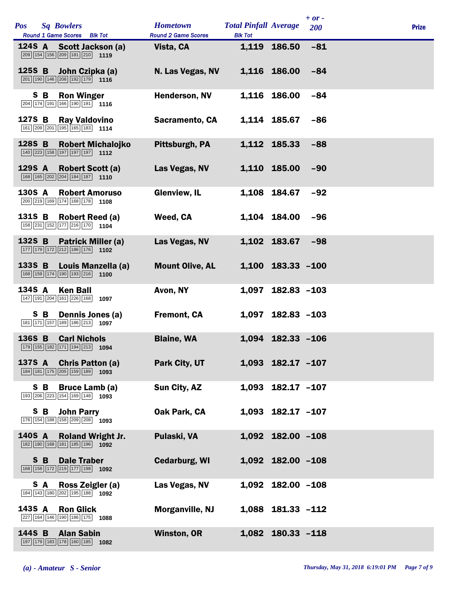| <b>Pos</b> |     | <b>Sq Bowlers</b><br>Round 1 Game Scores Blk Tot                                                                             | <b>Hometown</b><br><b>Round 2 Game Scores</b> | <b>Total Pinfall Average</b><br><b>Blk Tot</b> |                         | $+ or -$<br><b>200</b> | <b>Prize</b> |
|------------|-----|------------------------------------------------------------------------------------------------------------------------------|-----------------------------------------------|------------------------------------------------|-------------------------|------------------------|--------------|
|            |     | 124S A Scott Jackson (a)<br>209 154 156 209 181 210 1119                                                                     | Vista, CA                                     |                                                | 1,119 186.50            | $-81$                  |              |
|            |     | 125S B John Czipka (a)<br>$\boxed{201}$ $\boxed{190}$ $\boxed{146}$ $\boxed{208}$ $\boxed{192}$ $\boxed{179}$ <b>1116</b>    | N. Las Vegas, NV                              |                                                | 1,116 186.00            | $-84$                  |              |
|            | S B | <b>Ron Winger</b><br>$\boxed{204}$ 174 191 166 190 191 1116                                                                  | Henderson, NV                                 |                                                | 1,116 186.00            | $-84$                  |              |
| 127S B     |     | <b>Ray Valdovino</b><br>161 209 201 195 165 183 1114                                                                         | Sacramento, CA                                |                                                | 1,114 185.67            | $-86$                  |              |
| 128S B     |     | <b>Robert Michalojko</b><br>$\boxed{140}$ $\boxed{223}$ $\boxed{158}$ $\boxed{197}$ $\boxed{197}$ $\boxed{197}$ <b>1112</b>  | Pittsburgh, PA                                |                                                | 1,112 185.33            | $-88$                  |              |
| 129S A     |     | <b>Robert Scott (a)</b><br>$\boxed{168}$ $\boxed{165}$ $\boxed{202}$ $\boxed{204}$ $\boxed{184}$ $\boxed{187}$ <b>1110</b>   | Las Vegas, NV                                 |                                                | 1,110 185.00            | $-90$                  |              |
| 130S A     |     | <b>Robert Amoruso</b><br>$\boxed{200}$ $\boxed{219}$ 169 174 168 178 1108                                                    | <b>Glenview, IL</b>                           |                                                | 1,108 184.67            | $-92$                  |              |
| 131S B     |     | <b>Robert Reed (a)</b><br>158 231 152 177 216 170 1104                                                                       | Weed, CA                                      |                                                | 1,104 184.00            | $-96$                  |              |
| 132S B     |     | <b>Patrick Miller (a)</b><br>$\boxed{177}$ $\boxed{179}$ $\boxed{172}$ $\boxed{212}$ $\boxed{186}$ $\boxed{176}$ <b>1102</b> | Las Vegas, NV                                 |                                                | 1,102 183.67            | $-98$                  |              |
| 133S B     |     | Louis Manzella (a)<br>168 159 174 190 193 216 1100                                                                           | <b>Mount Olive, AL</b>                        |                                                | 1,100 183.33 -100       |                        |              |
| 134S A     |     | <b>Ken Ball</b><br>147 191 204 161 226 168<br>1097                                                                           | Avon, NY                                      | 1,097                                          | $182.83 - 103$          |                        |              |
|            | S B | Dennis Jones (a)<br>181 171 157 189 186 213 1097                                                                             | <b>Fremont, CA</b>                            |                                                | 1,097 182.83 -103       |                        |              |
| 136S B     |     | <b>Carl Nichols</b><br>179 155 182 171 194 213 1094                                                                          | <b>Blaine, WA</b>                             |                                                | 1,094 182.33 -106       |                        |              |
|            |     | 137S A Chris Patton (a)<br>184 181 175 205 159 189 1093                                                                      | Park City, UT                                 |                                                | $1,093$ $182.17$ $-107$ |                        |              |
|            |     | S B Bruce Lamb (a)<br>193 206 223 154 169 148 1093                                                                           | Sun City, AZ                                  |                                                | 1,093 182.17 -107       |                        |              |
|            | S B | <b>John Parry</b><br>176 154 188 158 209 208 1093                                                                            | Oak Park, CA                                  |                                                | 1,093 182.17 -107       |                        |              |
| 140S A     |     | <b>Roland Wright Jr.</b><br>182 180 168 181 185 196 1092                                                                     | Pulaski, VA                                   |                                                | 1,092 182.00 -108       |                        |              |
|            |     | <b>S B Dale Traber</b><br>$\boxed{168}$ $\boxed{158}$ $\boxed{172}$ $\boxed{219}$ $\boxed{177}$ $\boxed{198}$ 1092           | <b>Cedarburg, WI</b>                          |                                                | 1,092 182.00 -108       |                        |              |
|            | S A | Ross Zeigler (a)<br>184 143 180 202 195 188 1092                                                                             | Las Vegas, NV                                 |                                                | 1,092 182.00 -108       |                        |              |
| 143S A     |     | <b>Ron Glick</b><br>227 164 146 190 186 175 1088                                                                             | Morganville, NJ                               |                                                | 1,088 181.33 -112       |                        |              |
| 144S B     |     | <b>Alan Sabin</b><br>197 179 183 178 160 185 1082                                                                            | <b>Winston, OR</b>                            |                                                | 1,082 180.33 -118       |                        |              |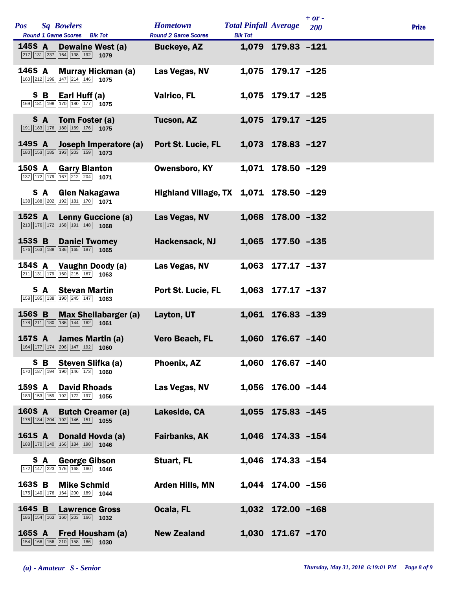| <b>Pos</b> |     | <b>Sq Bowlers</b><br>Round 1 Game Scores Blk Tot                                                                                | <b>Hometown</b><br><b>Round 2 Game Scores</b> | <b>Total Pinfall Average</b><br><b>Blk Tot</b> |                   | $+$ or -<br>200 | <b>Prize</b> |
|------------|-----|---------------------------------------------------------------------------------------------------------------------------------|-----------------------------------------------|------------------------------------------------|-------------------|-----------------|--------------|
|            |     | 145S A Dewaine West (a)<br>$\boxed{217}$ 131 237 164 138 192 1079                                                               | <b>Buckeye, AZ</b>                            |                                                | 1,079 179.83 -121 |                 |              |
|            |     | 146S A Murray Hickman (a)<br>160 212 196 147 214 146 1075                                                                       | Las Vegas, NV                                 |                                                | 1,075 179.17 -125 |                 |              |
|            |     | S B Earl Huff (a)<br>169 181 198 170 180 177 1075                                                                               | <b>Valrico, FL</b>                            |                                                | 1,075 179.17 -125 |                 |              |
|            | SA. | Tom Foster (a)<br>$\boxed{191}$ $\boxed{183}$ $\boxed{176}$ $\boxed{180}$ $\boxed{169}$ $\boxed{176}$ 1075                      | <b>Tucson, AZ</b>                             |                                                | 1,075 179.17 -125 |                 |              |
|            |     | 149S A Joseph Imperatore (a)<br>$\boxed{180}$ $\boxed{153}$ $\boxed{185}$ $\boxed{193}$ $\boxed{203}$ $\boxed{159}$ <b>1073</b> | <b>Port St. Lucie, FL</b>                     |                                                | 1,073 178.83 -127 |                 |              |
| 150S A     |     | <b>Garry Blanton</b><br>137 172 179 167 212 204 1071                                                                            | <b>Owensboro, KY</b>                          |                                                | 1,071 178.50 -129 |                 |              |
|            | S A | Glen Nakagawa<br>138 188 202 192 181 170 1071                                                                                   | Highland Village, TX 1,071 178.50 -129        |                                                |                   |                 |              |
| 152S A     |     | <b>Lenny Guccione (a)</b><br>$\boxed{213}$ 176 172 168 191 148 1068                                                             | Las Vegas, NV                                 |                                                | 1,068 178.00 -132 |                 |              |
|            |     | 153S B Daniel Twomey<br>176 163 188 186 165 187 1065                                                                            | Hackensack, NJ                                |                                                | 1,065 177.50 -135 |                 |              |
|            |     | 154S A Vaughn Doody (a)<br>$\boxed{211}$ $\boxed{131}$ $\boxed{179}$ $\boxed{160}$ $\boxed{215}$ $\boxed{167}$ <b>1063</b>      | Las Vegas, NV                                 |                                                | 1,063 177.17 -137 |                 |              |
|            |     | <b>S</b> A Stevan Martin<br>158 185 138 190 245 147 1063                                                                        | Port St. Lucie, FL                            |                                                | 1,063 177.17 -137 |                 |              |
| 156S B     |     | <b>Max Shellabarger (a)</b><br>178 211 180 186 144 162 1061                                                                     | Layton, UT                                    |                                                | 1,061 176.83 -139 |                 |              |
|            |     | 157S A James Martin (a)<br>164 177 174 206 147 192 1060                                                                         | Vero Beach, FL                                |                                                | 1,060 176.67 -140 |                 |              |
|            | S B | Steven Slifka (a)<br>170 187 194 190 146 173 1060                                                                               | Phoenix, AZ                                   |                                                | 1,060 176.67 -140 |                 |              |
|            |     | <b>159S A David Rhoads</b><br>183 153 159 192 172 197 1056                                                                      | Las Vegas, NV                                 |                                                | 1,056 176.00 -144 |                 |              |
| 160S A     |     | <b>Butch Creamer (a)</b><br>178 184 204 192 146 151 1055                                                                        | Lakeside, CA                                  |                                                | 1,055 175.83 -145 |                 |              |
| 161S A     |     | Donald Hovda (a)<br>188 170 140 166 184 198 1046                                                                                | <b>Fairbanks, AK</b>                          |                                                | 1,046 174.33 -154 |                 |              |
|            | S A | <b>George Gibson</b><br>172 147 223 176 168 160 1046                                                                            | Stuart, FL                                    |                                                | 1,046 174.33 -154 |                 |              |
| 163S B     |     | <b>Mike Schmid</b><br>175 140 176 164 200 189 1044                                                                              | <b>Arden Hills, MN</b>                        |                                                | 1,044 174.00 -156 |                 |              |
| 164S B     |     | <b>Lawrence Gross</b><br>186 154 163 160 203 166 1032                                                                           | Ocala, FL                                     |                                                | 1,032 172.00 -168 |                 |              |
| 165S A     |     | <b>Fred Housham (a)</b><br>154 166 156 210 158 186 1030                                                                         | <b>New Zealand</b>                            |                                                | 1,030 171.67 -170 |                 |              |